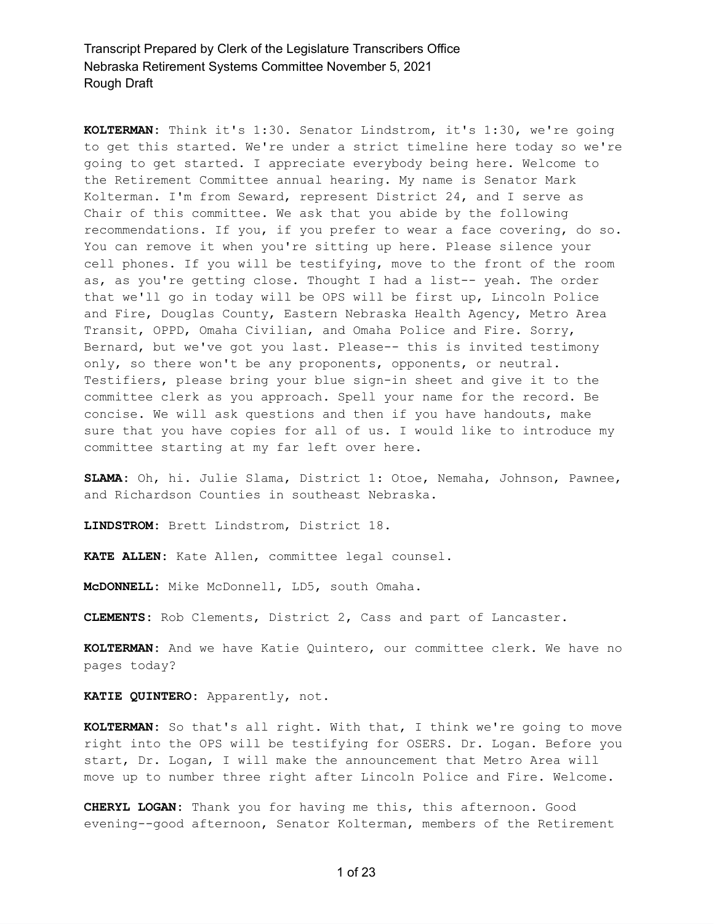**KOLTERMAN:** Think it's 1:30. Senator Lindstrom, it's 1:30, we're going to get this started. We're under a strict timeline here today so we're going to get started. I appreciate everybody being here. Welcome to the Retirement Committee annual hearing. My name is Senator Mark Kolterman. I'm from Seward, represent District 24, and I serve as Chair of this committee. We ask that you abide by the following recommendations. If you, if you prefer to wear a face covering, do so. You can remove it when you're sitting up here. Please silence your cell phones. If you will be testifying, move to the front of the room as, as you're getting close. Thought I had a list-- yeah. The order that we'll go in today will be OPS will be first up, Lincoln Police and Fire, Douglas County, Eastern Nebraska Health Agency, Metro Area Transit, OPPD, Omaha Civilian, and Omaha Police and Fire. Sorry, Bernard, but we've got you last. Please-- this is invited testimony only, so there won't be any proponents, opponents, or neutral. Testifiers, please bring your blue sign-in sheet and give it to the committee clerk as you approach. Spell your name for the record. Be concise. We will ask questions and then if you have handouts, make sure that you have copies for all of us. I would like to introduce my committee starting at my far left over here.

**SLAMA:** Oh, hi. Julie Slama, District 1: Otoe, Nemaha, Johnson, Pawnee, and Richardson Counties in southeast Nebraska.

**LINDSTROM:** Brett Lindstrom, District 18.

**KATE ALLEN:** Kate Allen, committee legal counsel.

**McDONNELL:** Mike McDonnell, LD5, south Omaha.

**CLEMENTS:** Rob Clements, District 2, Cass and part of Lancaster.

**KOLTERMAN:** And we have Katie Quintero, our committee clerk. We have no pages today?

**KATIE QUINTERO:** Apparently, not.

**KOLTERMAN:** So that's all right. With that, I think we're going to move right into the OPS will be testifying for OSERS. Dr. Logan. Before you start, Dr. Logan, I will make the announcement that Metro Area will move up to number three right after Lincoln Police and Fire. Welcome.

**CHERYL LOGAN:** Thank you for having me this, this afternoon. Good evening--good afternoon, Senator Kolterman, members of the Retirement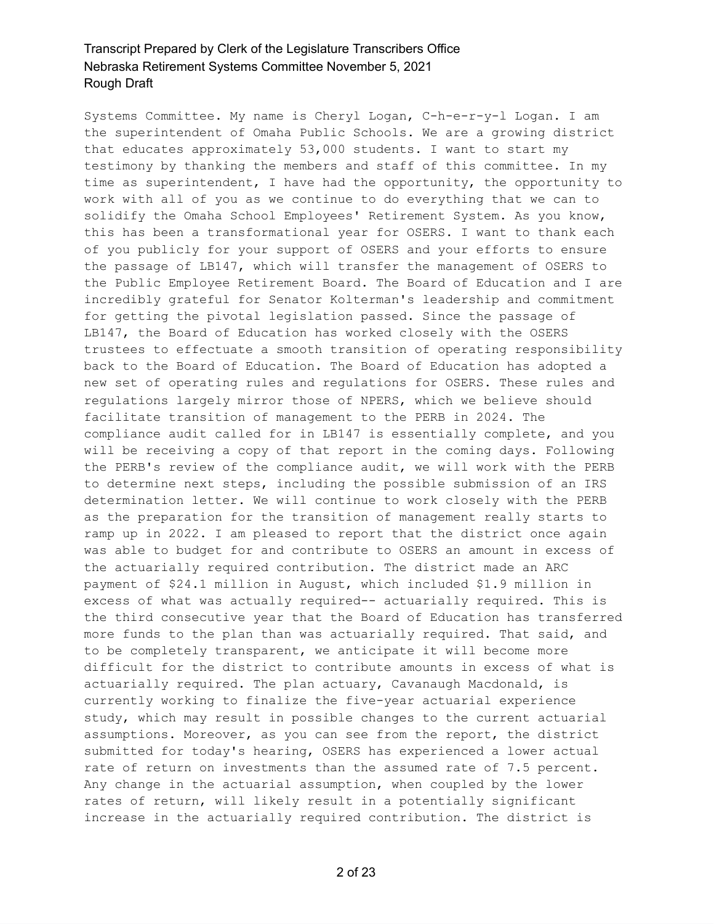Systems Committee. My name is Cheryl Logan, C-h-e-r-y-l Logan. I am the superintendent of Omaha Public Schools. We are a growing district that educates approximately 53,000 students. I want to start my testimony by thanking the members and staff of this committee. In my time as superintendent, I have had the opportunity, the opportunity to work with all of you as we continue to do everything that we can to solidify the Omaha School Employees' Retirement System. As you know, this has been a transformational year for OSERS. I want to thank each of you publicly for your support of OSERS and your efforts to ensure the passage of LB147, which will transfer the management of OSERS to the Public Employee Retirement Board. The Board of Education and I are incredibly grateful for Senator Kolterman's leadership and commitment for getting the pivotal legislation passed. Since the passage of LB147, the Board of Education has worked closely with the OSERS trustees to effectuate a smooth transition of operating responsibility back to the Board of Education. The Board of Education has adopted a new set of operating rules and regulations for OSERS. These rules and regulations largely mirror those of NPERS, which we believe should facilitate transition of management to the PERB in 2024. The compliance audit called for in LB147 is essentially complete, and you will be receiving a copy of that report in the coming days. Following the PERB's review of the compliance audit, we will work with the PERB to determine next steps, including the possible submission of an IRS determination letter. We will continue to work closely with the PERB as the preparation for the transition of management really starts to ramp up in 2022. I am pleased to report that the district once again was able to budget for and contribute to OSERS an amount in excess of the actuarially required contribution. The district made an ARC payment of \$24.1 million in August, which included \$1.9 million in excess of what was actually required-- actuarially required. This is the third consecutive year that the Board of Education has transferred more funds to the plan than was actuarially required. That said, and to be completely transparent, we anticipate it will become more difficult for the district to contribute amounts in excess of what is actuarially required. The plan actuary, Cavanaugh Macdonald, is currently working to finalize the five-year actuarial experience study, which may result in possible changes to the current actuarial assumptions. Moreover, as you can see from the report, the district submitted for today's hearing, OSERS has experienced a lower actual rate of return on investments than the assumed rate of 7.5 percent. Any change in the actuarial assumption, when coupled by the lower rates of return, will likely result in a potentially significant increase in the actuarially required contribution. The district is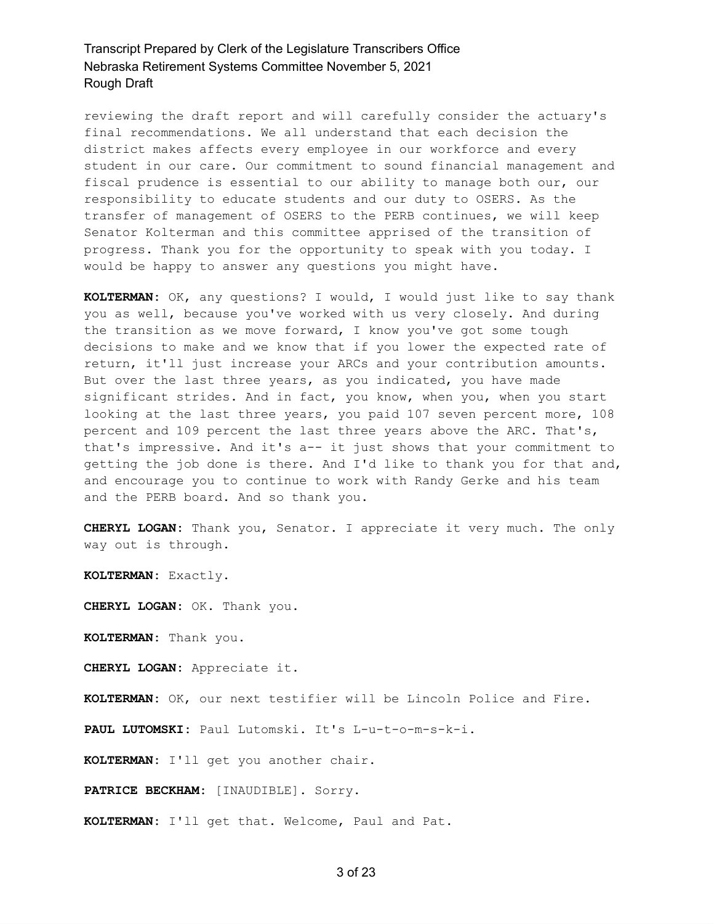reviewing the draft report and will carefully consider the actuary's final recommendations. We all understand that each decision the district makes affects every employee in our workforce and every student in our care. Our commitment to sound financial management and fiscal prudence is essential to our ability to manage both our, our responsibility to educate students and our duty to OSERS. As the transfer of management of OSERS to the PERB continues, we will keep Senator Kolterman and this committee apprised of the transition of progress. Thank you for the opportunity to speak with you today. I would be happy to answer any questions you might have.

**KOLTERMAN:** OK, any questions? I would, I would just like to say thank you as well, because you've worked with us very closely. And during the transition as we move forward, I know you've got some tough decisions to make and we know that if you lower the expected rate of return, it'll just increase your ARCs and your contribution amounts. But over the last three years, as you indicated, you have made significant strides. And in fact, you know, when you, when you start looking at the last three years, you paid 107 seven percent more, 108 percent and 109 percent the last three years above the ARC. That's, that's impressive. And it's a-- it just shows that your commitment to getting the job done is there. And I'd like to thank you for that and, and encourage you to continue to work with Randy Gerke and his team and the PERB board. And so thank you.

**CHERYL LOGAN:** Thank you, Senator. I appreciate it very much. The only way out is through.

**KOLTERMAN:** Exactly.

**CHERYL LOGAN:** OK. Thank you.

**KOLTERMAN:** Thank you.

**CHERYL LOGAN:** Appreciate it.

**KOLTERMAN:** OK, our next testifier will be Lincoln Police and Fire.

**PAUL LUTOMSKI:** Paul Lutomski. It's L-u-t-o-m-s-k-i.

**KOLTERMAN:** I'll get you another chair.

**PATRICE BECKHAM:** [INAUDIBLE]. Sorry.

**KOLTERMAN:** I'll get that. Welcome, Paul and Pat.

#### 3 of 23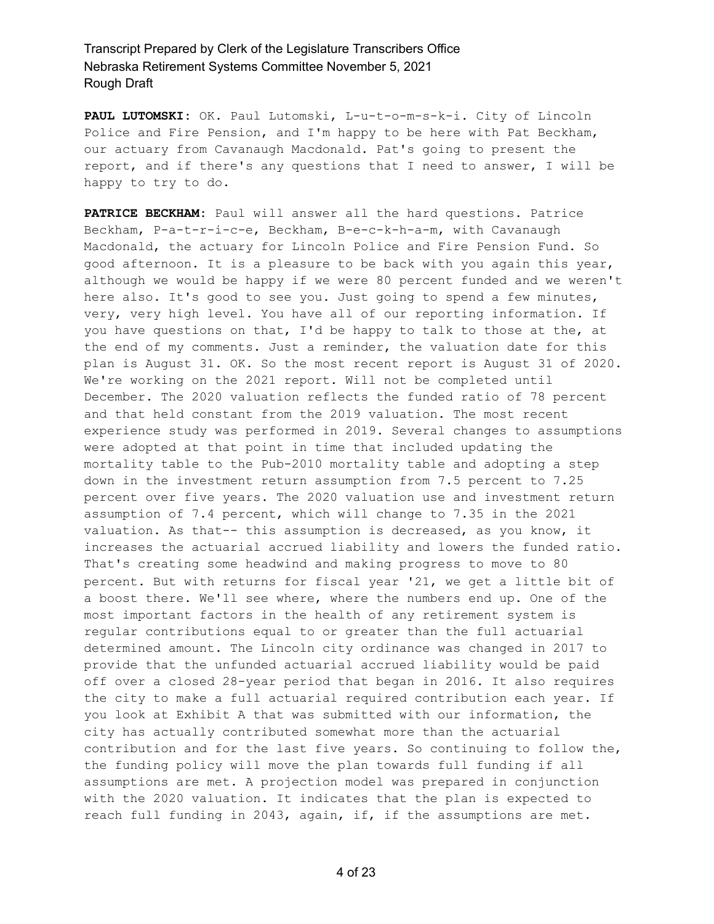**PAUL LUTOMSKI:** OK. Paul Lutomski, L-u-t-o-m-s-k-i. City of Lincoln Police and Fire Pension, and I'm happy to be here with Pat Beckham, our actuary from Cavanaugh Macdonald. Pat's going to present the report, and if there's any questions that I need to answer, I will be happy to try to do.

**PATRICE BECKHAM:** Paul will answer all the hard questions. Patrice Beckham, P-a-t-r-i-c-e, Beckham, B-e-c-k-h-a-m, with Cavanaugh Macdonald, the actuary for Lincoln Police and Fire Pension Fund. So good afternoon. It is a pleasure to be back with you again this year, although we would be happy if we were 80 percent funded and we weren't here also. It's good to see you. Just going to spend a few minutes, very, very high level. You have all of our reporting information. If you have questions on that, I'd be happy to talk to those at the, at the end of my comments. Just a reminder, the valuation date for this plan is August 31. OK. So the most recent report is August 31 of 2020. We're working on the 2021 report. Will not be completed until December. The 2020 valuation reflects the funded ratio of 78 percent and that held constant from the 2019 valuation. The most recent experience study was performed in 2019. Several changes to assumptions were adopted at that point in time that included updating the mortality table to the Pub-2010 mortality table and adopting a step down in the investment return assumption from 7.5 percent to 7.25 percent over five years. The 2020 valuation use and investment return assumption of 7.4 percent, which will change to 7.35 in the 2021 valuation. As that-- this assumption is decreased, as you know, it increases the actuarial accrued liability and lowers the funded ratio. That's creating some headwind and making progress to move to 80 percent. But with returns for fiscal year '21, we get a little bit of a boost there. We'll see where, where the numbers end up. One of the most important factors in the health of any retirement system is regular contributions equal to or greater than the full actuarial determined amount. The Lincoln city ordinance was changed in 2017 to provide that the unfunded actuarial accrued liability would be paid off over a closed 28-year period that began in 2016. It also requires the city to make a full actuarial required contribution each year. If you look at Exhibit A that was submitted with our information, the city has actually contributed somewhat more than the actuarial contribution and for the last five years. So continuing to follow the, the funding policy will move the plan towards full funding if all assumptions are met. A projection model was prepared in conjunction with the 2020 valuation. It indicates that the plan is expected to reach full funding in 2043, again, if, if the assumptions are met.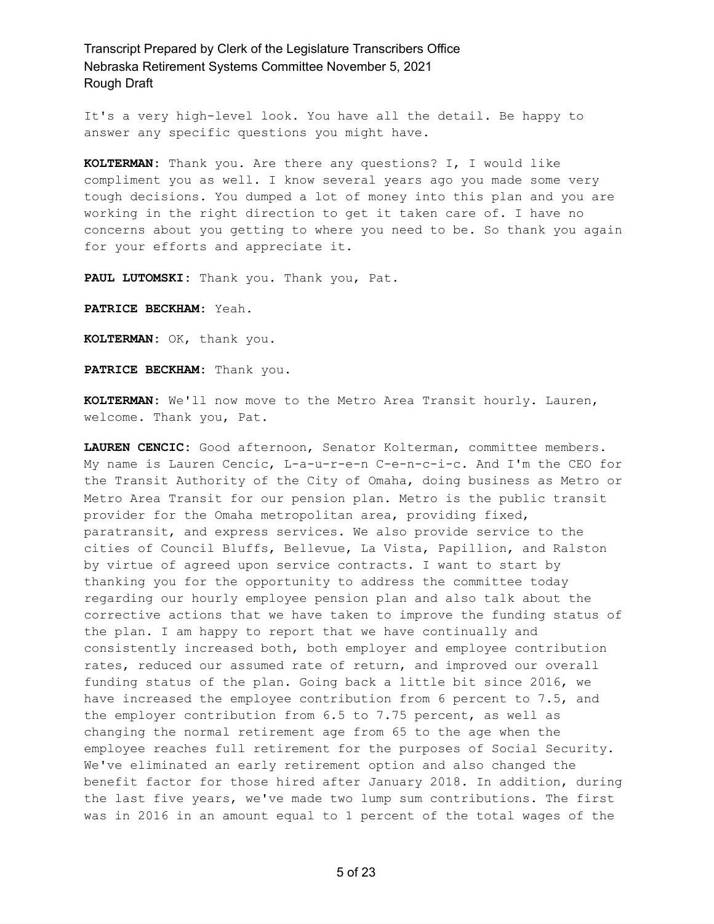It's a very high-level look. You have all the detail. Be happy to answer any specific questions you might have.

**KOLTERMAN:** Thank you. Are there any questions? I, I would like compliment you as well. I know several years ago you made some very tough decisions. You dumped a lot of money into this plan and you are working in the right direction to get it taken care of. I have no concerns about you getting to where you need to be. So thank you again for your efforts and appreciate it.

**PAUL LUTOMSKI:** Thank you. Thank you, Pat.

**PATRICE BECKHAM:** Yeah.

**KOLTERMAN:** OK, thank you.

**PATRICE BECKHAM:** Thank you.

**KOLTERMAN:** We'll now move to the Metro Area Transit hourly. Lauren, welcome. Thank you, Pat.

**LAUREN CENCIC:** Good afternoon, Senator Kolterman, committee members. My name is Lauren Cencic, L-a-u-r-e-n C-e-n-c-i-c. And I'm the CEO for the Transit Authority of the City of Omaha, doing business as Metro or Metro Area Transit for our pension plan. Metro is the public transit provider for the Omaha metropolitan area, providing fixed, paratransit, and express services. We also provide service to the cities of Council Bluffs, Bellevue, La Vista, Papillion, and Ralston by virtue of agreed upon service contracts. I want to start by thanking you for the opportunity to address the committee today regarding our hourly employee pension plan and also talk about the corrective actions that we have taken to improve the funding status of the plan. I am happy to report that we have continually and consistently increased both, both employer and employee contribution rates, reduced our assumed rate of return, and improved our overall funding status of the plan. Going back a little bit since 2016, we have increased the employee contribution from 6 percent to 7.5, and the employer contribution from 6.5 to 7.75 percent, as well as changing the normal retirement age from 65 to the age when the employee reaches full retirement for the purposes of Social Security. We've eliminated an early retirement option and also changed the benefit factor for those hired after January 2018. In addition, during the last five years, we've made two lump sum contributions. The first was in 2016 in an amount equal to 1 percent of the total wages of the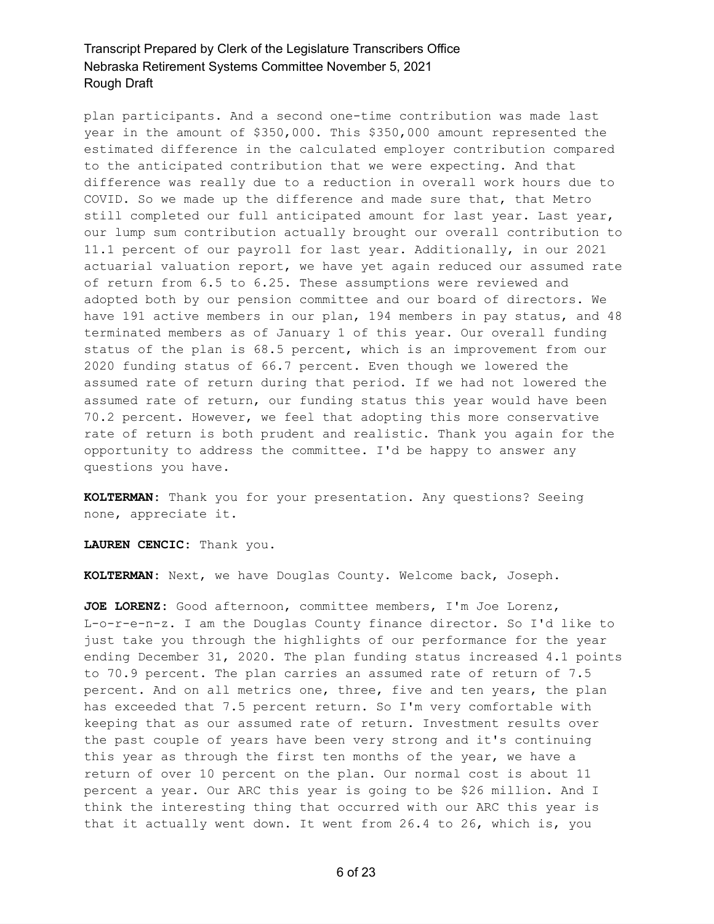plan participants. And a second one-time contribution was made last year in the amount of \$350,000. This \$350,000 amount represented the estimated difference in the calculated employer contribution compared to the anticipated contribution that we were expecting. And that difference was really due to a reduction in overall work hours due to COVID. So we made up the difference and made sure that, that Metro still completed our full anticipated amount for last year. Last year, our lump sum contribution actually brought our overall contribution to 11.1 percent of our payroll for last year. Additionally, in our 2021 actuarial valuation report, we have yet again reduced our assumed rate of return from 6.5 to 6.25. These assumptions were reviewed and adopted both by our pension committee and our board of directors. We have 191 active members in our plan, 194 members in pay status, and 48 terminated members as of January 1 of this year. Our overall funding status of the plan is 68.5 percent, which is an improvement from our 2020 funding status of 66.7 percent. Even though we lowered the assumed rate of return during that period. If we had not lowered the assumed rate of return, our funding status this year would have been 70.2 percent. However, we feel that adopting this more conservative rate of return is both prudent and realistic. Thank you again for the opportunity to address the committee. I'd be happy to answer any questions you have.

**KOLTERMAN:** Thank you for your presentation. Any questions? Seeing none, appreciate it.

**LAUREN CENCIC:** Thank you.

**KOLTERMAN:** Next, we have Douglas County. Welcome back, Joseph.

**JOE LORENZ:** Good afternoon, committee members, I'm Joe Lorenz, L-o-r-e-n-z. I am the Douglas County finance director. So I'd like to just take you through the highlights of our performance for the year ending December 31, 2020. The plan funding status increased 4.1 points to 70.9 percent. The plan carries an assumed rate of return of 7.5 percent. And on all metrics one, three, five and ten years, the plan has exceeded that 7.5 percent return. So I'm very comfortable with keeping that as our assumed rate of return. Investment results over the past couple of years have been very strong and it's continuing this year as through the first ten months of the year, we have a return of over 10 percent on the plan. Our normal cost is about 11 percent a year. Our ARC this year is going to be \$26 million. And I think the interesting thing that occurred with our ARC this year is that it actually went down. It went from 26.4 to 26, which is, you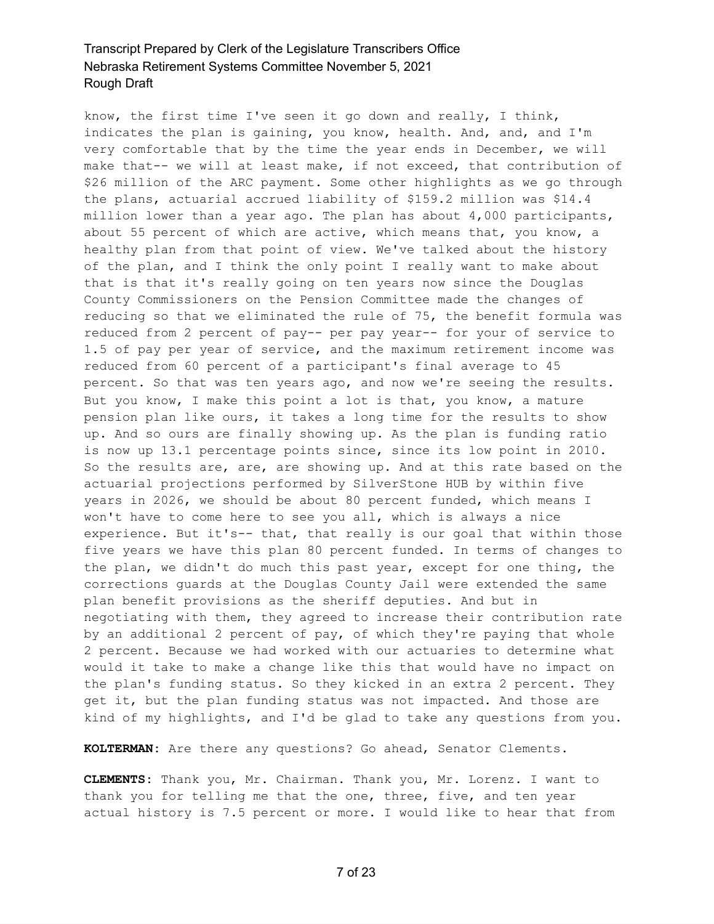know, the first time I've seen it go down and really, I think, indicates the plan is gaining, you know, health. And, and, and I'm very comfortable that by the time the year ends in December, we will make that-- we will at least make, if not exceed, that contribution of \$26 million of the ARC payment. Some other highlights as we go through the plans, actuarial accrued liability of \$159.2 million was \$14.4 million lower than a year ago. The plan has about 4,000 participants, about 55 percent of which are active, which means that, you know, a healthy plan from that point of view. We've talked about the history of the plan, and I think the only point I really want to make about that is that it's really going on ten years now since the Douglas County Commissioners on the Pension Committee made the changes of reducing so that we eliminated the rule of 75, the benefit formula was reduced from 2 percent of pay-- per pay year-- for your of service to 1.5 of pay per year of service, and the maximum retirement income was reduced from 60 percent of a participant's final average to 45 percent. So that was ten years ago, and now we're seeing the results. But you know, I make this point a lot is that, you know, a mature pension plan like ours, it takes a long time for the results to show up. And so ours are finally showing up. As the plan is funding ratio is now up 13.1 percentage points since, since its low point in 2010. So the results are, are, are showing up. And at this rate based on the actuarial projections performed by SilverStone HUB by within five years in 2026, we should be about 80 percent funded, which means I won't have to come here to see you all, which is always a nice experience. But it's-- that, that really is our goal that within those five years we have this plan 80 percent funded. In terms of changes to the plan, we didn't do much this past year, except for one thing, the corrections guards at the Douglas County Jail were extended the same plan benefit provisions as the sheriff deputies. And but in negotiating with them, they agreed to increase their contribution rate by an additional 2 percent of pay, of which they're paying that whole 2 percent. Because we had worked with our actuaries to determine what would it take to make a change like this that would have no impact on the plan's funding status. So they kicked in an extra 2 percent. They get it, but the plan funding status was not impacted. And those are kind of my highlights, and I'd be glad to take any questions from you.

**KOLTERMAN:** Are there any questions? Go ahead, Senator Clements.

**CLEMENTS:** Thank you, Mr. Chairman. Thank you, Mr. Lorenz. I want to thank you for telling me that the one, three, five, and ten year actual history is 7.5 percent or more. I would like to hear that from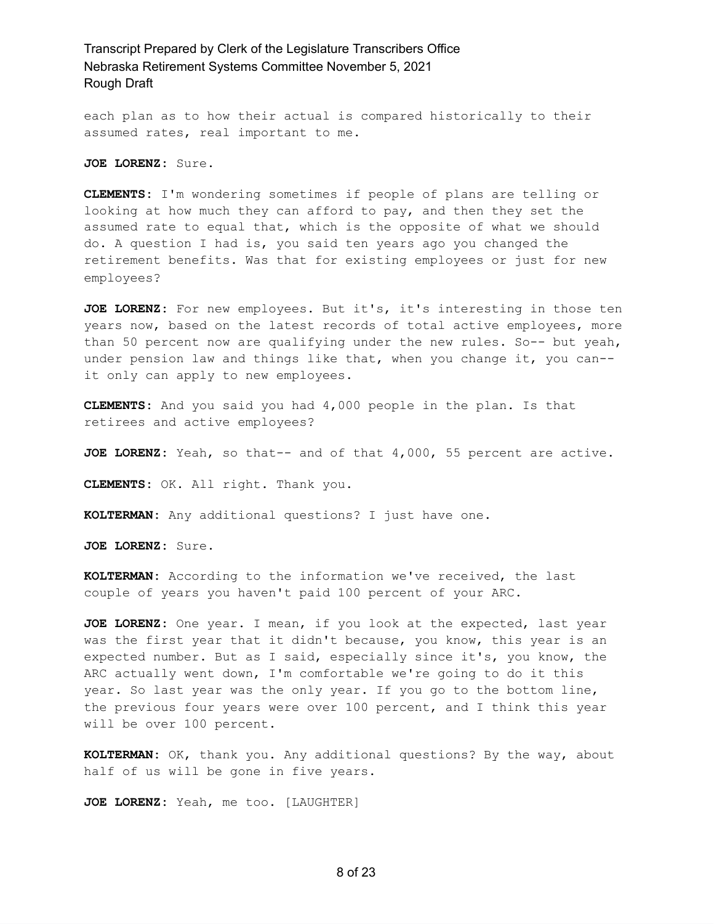each plan as to how their actual is compared historically to their assumed rates, real important to me.

**JOE LORENZ:** Sure.

**CLEMENTS:** I'm wondering sometimes if people of plans are telling or looking at how much they can afford to pay, and then they set the assumed rate to equal that, which is the opposite of what we should do. A question I had is, you said ten years ago you changed the retirement benefits. Was that for existing employees or just for new employees?

**JOE LORENZ:** For new employees. But it's, it's interesting in those ten years now, based on the latest records of total active employees, more than 50 percent now are qualifying under the new rules. So-- but yeah, under pension law and things like that, when you change it, you can- it only can apply to new employees.

**CLEMENTS:** And you said you had 4,000 people in the plan. Is that retirees and active employees?

**JOE LORENZ:** Yeah, so that-- and of that 4,000, 55 percent are active.

**CLEMENTS:** OK. All right. Thank you.

**KOLTERMAN:** Any additional questions? I just have one.

**JOE LORENZ:** Sure.

**KOLTERMAN:** According to the information we've received, the last couple of years you haven't paid 100 percent of your ARC.

**JOE LORENZ:** One year. I mean, if you look at the expected, last year was the first year that it didn't because, you know, this year is an expected number. But as I said, especially since it's, you know, the ARC actually went down, I'm comfortable we're going to do it this year. So last year was the only year. If you go to the bottom line, the previous four years were over 100 percent, and I think this year will be over 100 percent.

**KOLTERMAN:** OK, thank you. Any additional questions? By the way, about half of us will be gone in five years.

**JOE LORENZ:** Yeah, me too. [LAUGHTER]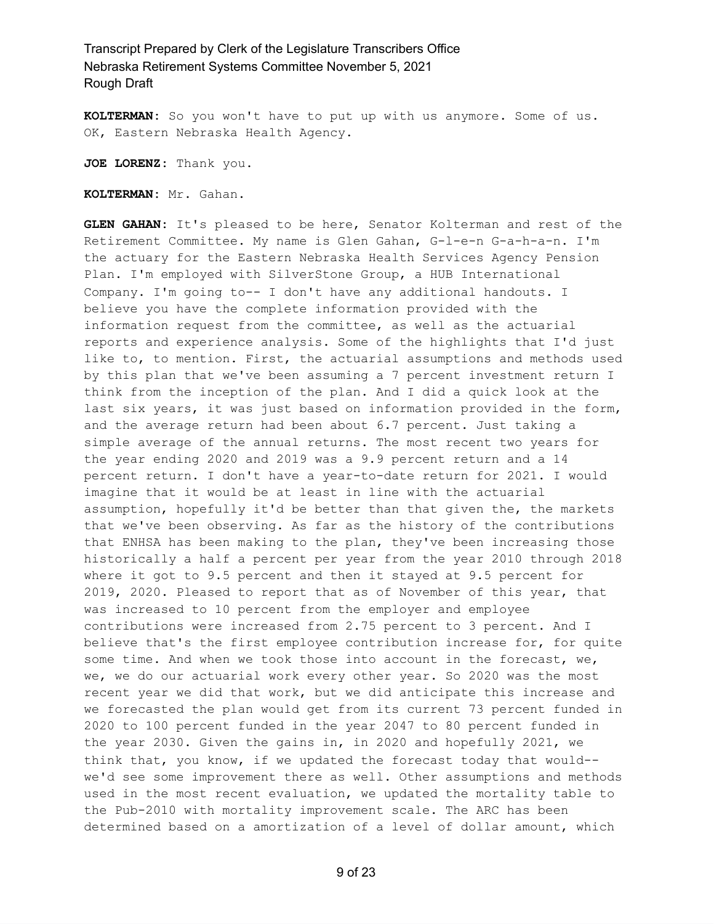**KOLTERMAN:** So you won't have to put up with us anymore. Some of us. OK, Eastern Nebraska Health Agency.

**JOE LORENZ:** Thank you.

**KOLTERMAN:** Mr. Gahan.

**GLEN GAHAN:** It's pleased to be here, Senator Kolterman and rest of the Retirement Committee. My name is Glen Gahan, G-l-e-n G-a-h-a-n. I'm the actuary for the Eastern Nebraska Health Services Agency Pension Plan. I'm employed with SilverStone Group, a HUB International Company. I'm going to-- I don't have any additional handouts. I believe you have the complete information provided with the information request from the committee, as well as the actuarial reports and experience analysis. Some of the highlights that I'd just like to, to mention. First, the actuarial assumptions and methods used by this plan that we've been assuming a 7 percent investment return I think from the inception of the plan. And I did a quick look at the last six years, it was just based on information provided in the form, and the average return had been about 6.7 percent. Just taking a simple average of the annual returns. The most recent two years for the year ending 2020 and 2019 was a 9.9 percent return and a 14 percent return. I don't have a year-to-date return for 2021. I would imagine that it would be at least in line with the actuarial assumption, hopefully it'd be better than that given the, the markets that we've been observing. As far as the history of the contributions that ENHSA has been making to the plan, they've been increasing those historically a half a percent per year from the year 2010 through 2018 where it got to 9.5 percent and then it stayed at 9.5 percent for 2019, 2020. Pleased to report that as of November of this year, that was increased to 10 percent from the employer and employee contributions were increased from 2.75 percent to 3 percent. And I believe that's the first employee contribution increase for, for quite some time. And when we took those into account in the forecast, we, we, we do our actuarial work every other year. So 2020 was the most recent year we did that work, but we did anticipate this increase and we forecasted the plan would get from its current 73 percent funded in 2020 to 100 percent funded in the year 2047 to 80 percent funded in the year 2030. Given the gains in, in 2020 and hopefully 2021, we think that, you know, if we updated the forecast today that would- we'd see some improvement there as well. Other assumptions and methods used in the most recent evaluation, we updated the mortality table to the Pub-2010 with mortality improvement scale. The ARC has been determined based on a amortization of a level of dollar amount, which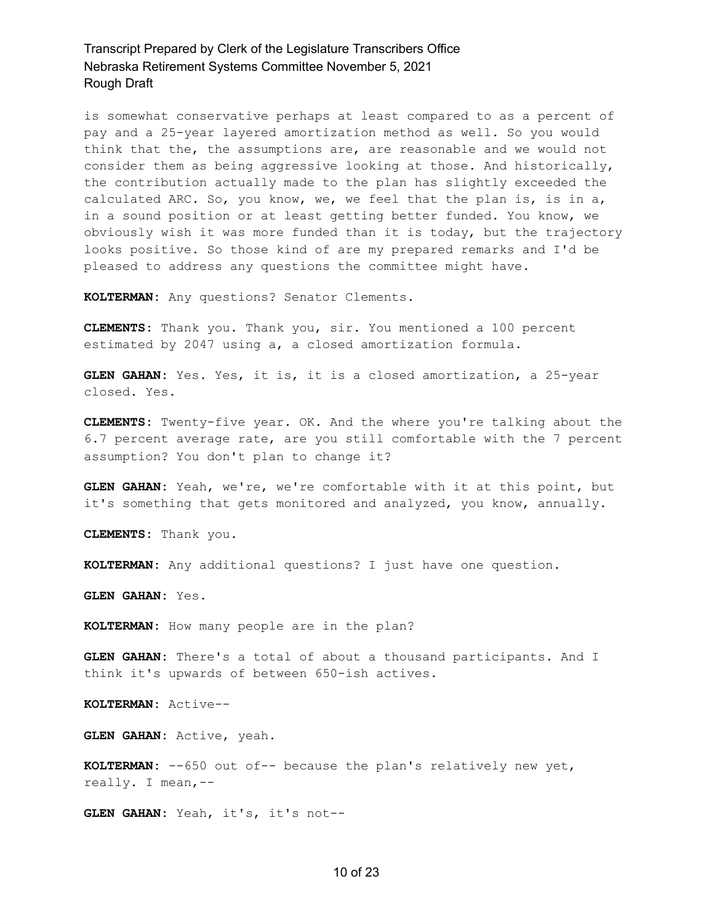is somewhat conservative perhaps at least compared to as a percent of pay and a 25-year layered amortization method as well. So you would think that the, the assumptions are, are reasonable and we would not consider them as being aggressive looking at those. And historically, the contribution actually made to the plan has slightly exceeded the calculated ARC. So, you know, we, we feel that the plan is, is in a, in a sound position or at least getting better funded. You know, we obviously wish it was more funded than it is today, but the trajectory looks positive. So those kind of are my prepared remarks and I'd be pleased to address any questions the committee might have.

**KOLTERMAN:** Any questions? Senator Clements.

**CLEMENTS:** Thank you. Thank you, sir. You mentioned a 100 percent estimated by 2047 using a, a closed amortization formula.

**GLEN GAHAN:** Yes. Yes, it is, it is a closed amortization, a 25-year closed. Yes.

**CLEMENTS:** Twenty-five year. OK. And the where you're talking about the 6.7 percent average rate, are you still comfortable with the 7 percent assumption? You don't plan to change it?

**GLEN GAHAN:** Yeah, we're, we're comfortable with it at this point, but it's something that gets monitored and analyzed, you know, annually.

**CLEMENTS:** Thank you.

**KOLTERMAN:** Any additional questions? I just have one question.

**GLEN GAHAN:** Yes.

**KOLTERMAN:** How many people are in the plan?

**GLEN GAHAN:** There's a total of about a thousand participants. And I think it's upwards of between 650-ish actives.

**KOLTERMAN:** Active--

**GLEN GAHAN:** Active, yeah.

**KOLTERMAN:** --650 out of-- because the plan's relatively new yet, really. I mean,--

**GLEN GAHAN:** Yeah, it's, it's not--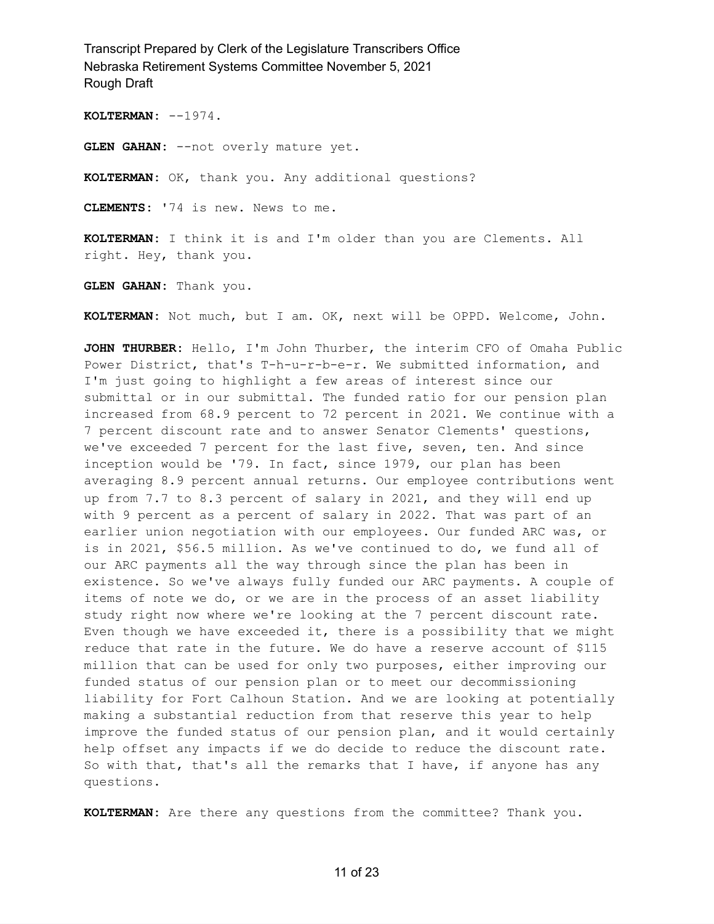**KOLTERMAN:** --1974.

**GLEN GAHAN:** --not overly mature yet.

**KOLTERMAN:** OK, thank you. Any additional questions?

**CLEMENTS:** '74 is new. News to me.

**KOLTERMAN:** I think it is and I'm older than you are Clements. All right. Hey, thank you.

**GLEN GAHAN:** Thank you.

**KOLTERMAN:** Not much, but I am. OK, next will be OPPD. Welcome, John.

**JOHN THURBER:** Hello, I'm John Thurber, the interim CFO of Omaha Public Power District, that's T-h-u-r-b-e-r. We submitted information, and I'm just going to highlight a few areas of interest since our submittal or in our submittal. The funded ratio for our pension plan increased from 68.9 percent to 72 percent in 2021. We continue with a 7 percent discount rate and to answer Senator Clements' questions, we've exceeded 7 percent for the last five, seven, ten. And since inception would be '79. In fact, since 1979, our plan has been averaging 8.9 percent annual returns. Our employee contributions went up from 7.7 to 8.3 percent of salary in 2021, and they will end up with 9 percent as a percent of salary in 2022. That was part of an earlier union negotiation with our employees. Our funded ARC was, or is in 2021, \$56.5 million. As we've continued to do, we fund all of our ARC payments all the way through since the plan has been in existence. So we've always fully funded our ARC payments. A couple of items of note we do, or we are in the process of an asset liability study right now where we're looking at the 7 percent discount rate. Even though we have exceeded it, there is a possibility that we might reduce that rate in the future. We do have a reserve account of \$115 million that can be used for only two purposes, either improving our funded status of our pension plan or to meet our decommissioning liability for Fort Calhoun Station. And we are looking at potentially making a substantial reduction from that reserve this year to help improve the funded status of our pension plan, and it would certainly help offset any impacts if we do decide to reduce the discount rate. So with that, that's all the remarks that I have, if anyone has any questions.

**KOLTERMAN:** Are there any questions from the committee? Thank you.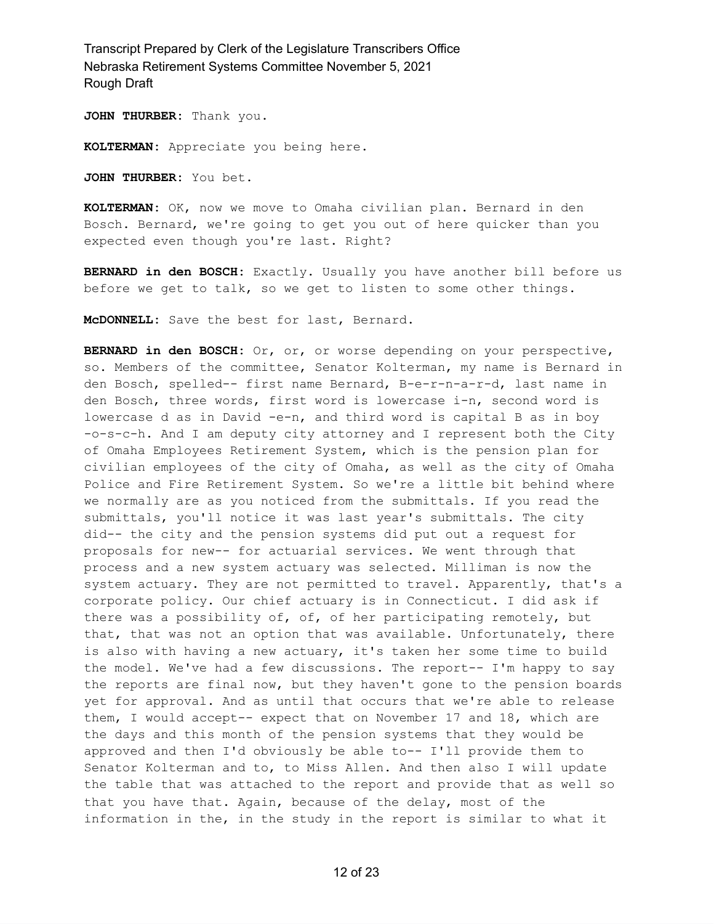**JOHN THURBER:** Thank you.

**KOLTERMAN:** Appreciate you being here.

**JOHN THURBER:** You bet.

**KOLTERMAN:** OK, now we move to Omaha civilian plan. Bernard in den Bosch. Bernard, we're going to get you out of here quicker than you expected even though you're last. Right?

**BERNARD in den BOSCH:** Exactly. Usually you have another bill before us before we get to talk, so we get to listen to some other things.

**McDONNELL:** Save the best for last, Bernard.

**BERNARD in den BOSCH:** Or, or, or worse depending on your perspective, so. Members of the committee, Senator Kolterman, my name is Bernard in den Bosch, spelled-- first name Bernard, B-e-r-n-a-r-d, last name in den Bosch, three words, first word is lowercase i-n, second word is lowercase d as in David -e-n, and third word is capital B as in boy -o-s-c-h. And I am deputy city attorney and I represent both the City of Omaha Employees Retirement System, which is the pension plan for civilian employees of the city of Omaha, as well as the city of Omaha Police and Fire Retirement System. So we're a little bit behind where we normally are as you noticed from the submittals. If you read the submittals, you'll notice it was last year's submittals. The city did-- the city and the pension systems did put out a request for proposals for new-- for actuarial services. We went through that process and a new system actuary was selected. Milliman is now the system actuary. They are not permitted to travel. Apparently, that's a corporate policy. Our chief actuary is in Connecticut. I did ask if there was a possibility of, of, of her participating remotely, but that, that was not an option that was available. Unfortunately, there is also with having a new actuary, it's taken her some time to build the model. We've had a few discussions. The report-- I'm happy to say the reports are final now, but they haven't gone to the pension boards yet for approval. And as until that occurs that we're able to release them, I would accept-- expect that on November 17 and 18, which are the days and this month of the pension systems that they would be approved and then I'd obviously be able to-- I'll provide them to Senator Kolterman and to, to Miss Allen. And then also I will update the table that was attached to the report and provide that as well so that you have that. Again, because of the delay, most of the information in the, in the study in the report is similar to what it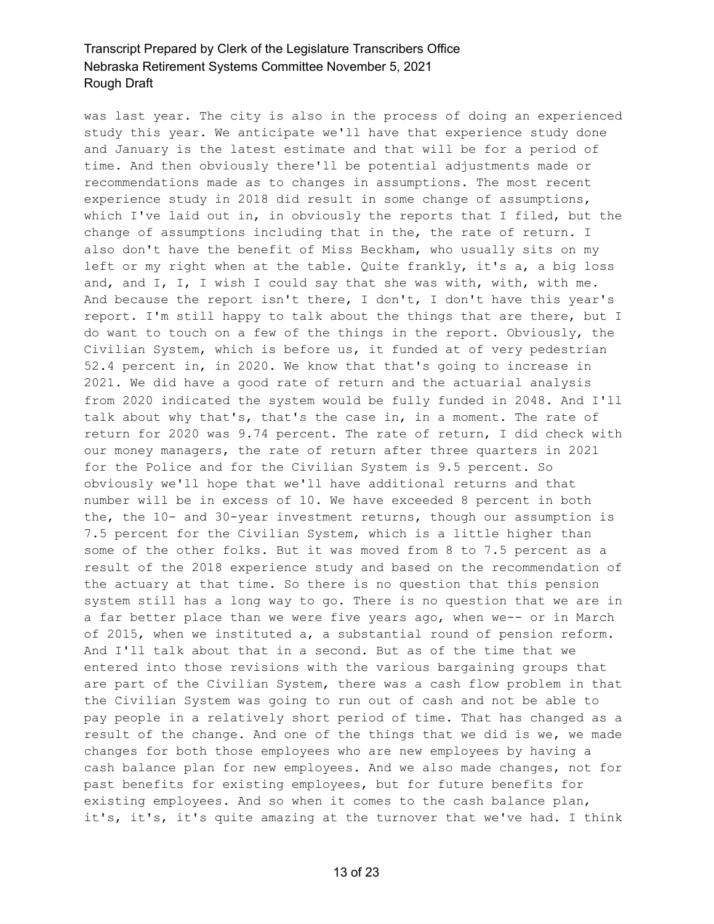was last year. The city is also in the process of doing an experienced study this year. We anticipate we'll have that experience study done and January is the latest estimate and that will be for a period of time. And then obviously there'll be potential adjustments made or recommendations made as to changes in assumptions. The most recent experience study in 2018 did result in some change of assumptions, which I've laid out in, in obviously the reports that I filed, but the change of assumptions including that in the, the rate of return. I also don't have the benefit of Miss Beckham, who usually sits on my left or my right when at the table. Quite frankly, it's a, a big loss and, and I, I, I wish I could say that she was with, with, with me. And because the report isn't there, I don't, I don't have this year's report. I'm still happy to talk about the things that are there, but I do want to touch on a few of the things in the report. Obviously, the Civilian System, which is before us, it funded at of very pedestrian 52.4 percent in, in 2020. We know that that's going to increase in 2021. We did have a good rate of return and the actuarial analysis from 2020 indicated the system would be fully funded in 2048. And I'll talk about why that's, that's the case in, in a moment. The rate of return for 2020 was 9.74 percent. The rate of return, I did check with our money managers, the rate of return after three quarters in 2021 for the Police and for the Civilian System is 9.5 percent. So obviously we'll hope that we'll have additional returns and that number will be in excess of 10. We have exceeded 8 percent in both the, the 10- and 30-year investment returns, though our assumption is 7.5 percent for the Civilian System, which is a little higher than some of the other folks. But it was moved from 8 to 7.5 percent as a result of the 2018 experience study and based on the recommendation of the actuary at that time. So there is no question that this pension system still has a long way to go. There is no question that we are in a far better place than we were five years ago, when we-- or in March of 2015, when we instituted a, a substantial round of pension reform. And I'll talk about that in a second. But as of the time that we entered into those revisions with the various bargaining groups that are part of the Civilian System, there was a cash flow problem in that the Civilian System was going to run out of cash and not be able to pay people in a relatively short period of time. That has changed as a result of the change. And one of the things that we did is we, we made changes for both those employees who are new employees by having a cash balance plan for new employees. And we also made changes, not for past benefits for existing employees, but for future benefits for existing employees. And so when it comes to the cash balance plan, it's, it's, it's quite amazing at the turnover that we've had. I think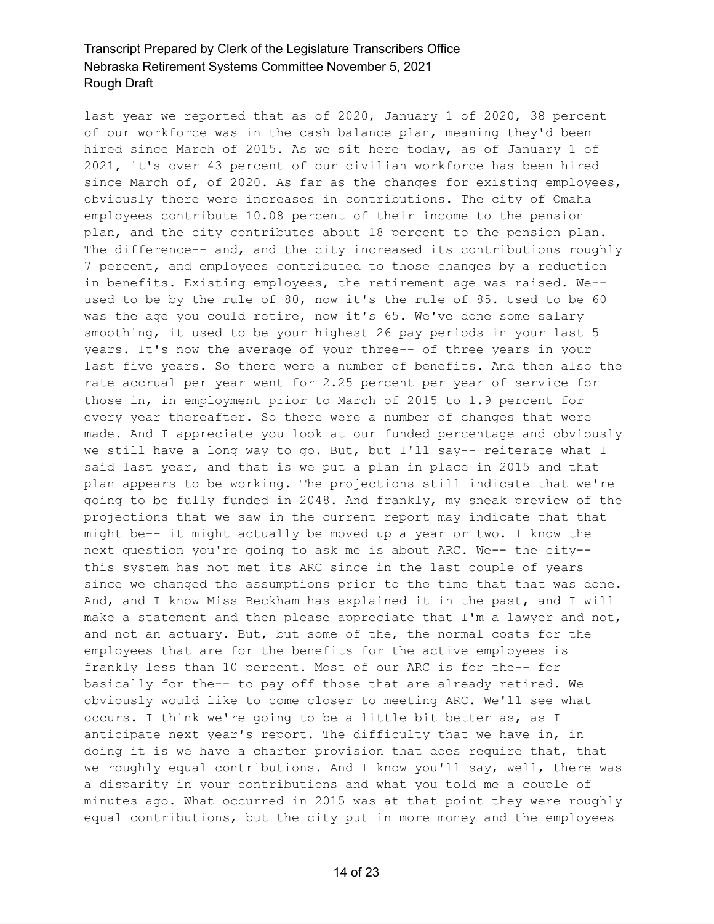last year we reported that as of 2020, January 1 of 2020, 38 percent of our workforce was in the cash balance plan, meaning they'd been hired since March of 2015. As we sit here today, as of January 1 of 2021, it's over 43 percent of our civilian workforce has been hired since March of, of 2020. As far as the changes for existing employees, obviously there were increases in contributions. The city of Omaha employees contribute 10.08 percent of their income to the pension plan, and the city contributes about 18 percent to the pension plan. The difference-- and, and the city increased its contributions roughly 7 percent, and employees contributed to those changes by a reduction in benefits. Existing employees, the retirement age was raised. We- used to be by the rule of 80, now it's the rule of 85. Used to be 60 was the age you could retire, now it's 65. We've done some salary smoothing, it used to be your highest 26 pay periods in your last 5 years. It's now the average of your three-- of three years in your last five years. So there were a number of benefits. And then also the rate accrual per year went for 2.25 percent per year of service for those in, in employment prior to March of 2015 to 1.9 percent for every year thereafter. So there were a number of changes that were made. And I appreciate you look at our funded percentage and obviously we still have a long way to go. But, but I'll say-- reiterate what I said last year, and that is we put a plan in place in 2015 and that plan appears to be working. The projections still indicate that we're going to be fully funded in 2048. And frankly, my sneak preview of the projections that we saw in the current report may indicate that that might be-- it might actually be moved up a year or two. I know the next question you're going to ask me is about ARC. We-- the city- this system has not met its ARC since in the last couple of years since we changed the assumptions prior to the time that that was done. And, and I know Miss Beckham has explained it in the past, and I will make a statement and then please appreciate that I'm a lawyer and not, and not an actuary. But, but some of the, the normal costs for the employees that are for the benefits for the active employees is frankly less than 10 percent. Most of our ARC is for the-- for basically for the-- to pay off those that are already retired. We obviously would like to come closer to meeting ARC. We'll see what occurs. I think we're going to be a little bit better as, as I anticipate next year's report. The difficulty that we have in, in doing it is we have a charter provision that does require that, that we roughly equal contributions. And I know you'll say, well, there was a disparity in your contributions and what you told me a couple of minutes ago. What occurred in 2015 was at that point they were roughly equal contributions, but the city put in more money and the employees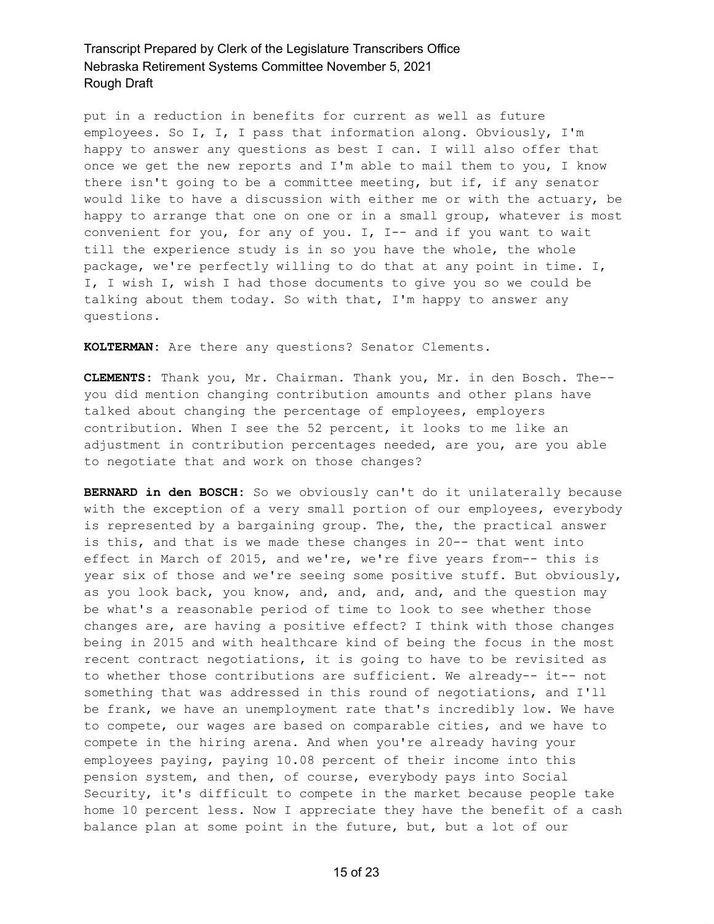put in a reduction in benefits for current as well as future employees. So I, I, I pass that information along. Obviously, I'm happy to answer any questions as best I can. I will also offer that once we get the new reports and I'm able to mail them to you, I know there isn't going to be a committee meeting, but if, if any senator would like to have a discussion with either me or with the actuary, be happy to arrange that one on one or in a small group, whatever is most convenient for you, for any of you. I, I-- and if you want to wait till the experience study is in so you have the whole, the whole package, we're perfectly willing to do that at any point in time. I, I, I wish I, wish I had those documents to give you so we could be talking about them today. So with that, I'm happy to answer any questions.

**KOLTERMAN:** Are there any questions? Senator Clements.

**CLEMENTS:** Thank you, Mr. Chairman. Thank you, Mr. in den Bosch. The- you did mention changing contribution amounts and other plans have talked about changing the percentage of employees, employers contribution. When I see the 52 percent, it looks to me like an adjustment in contribution percentages needed, are you, are you able to negotiate that and work on those changes?

**BERNARD in den BOSCH:** So we obviously can't do it unilaterally because with the exception of a very small portion of our employees, everybody is represented by a bargaining group. The, the, the practical answer is this, and that is we made these changes in 20-- that went into effect in March of 2015, and we're, we're five years from-- this is year six of those and we're seeing some positive stuff. But obviously, as you look back, you know, and, and, and, and, and the question may be what's a reasonable period of time to look to see whether those changes are, are having a positive effect? I think with those changes being in 2015 and with healthcare kind of being the focus in the most recent contract negotiations, it is going to have to be revisited as to whether those contributions are sufficient. We already-- it-- not something that was addressed in this round of negotiations, and I'll be frank, we have an unemployment rate that's incredibly low. We have to compete, our wages are based on comparable cities, and we have to compete in the hiring arena. And when you're already having your employees paying, paying 10.08 percent of their income into this pension system, and then, of course, everybody pays into Social Security, it's difficult to compete in the market because people take home 10 percent less. Now I appreciate they have the benefit of a cash balance plan at some point in the future, but, but a lot of our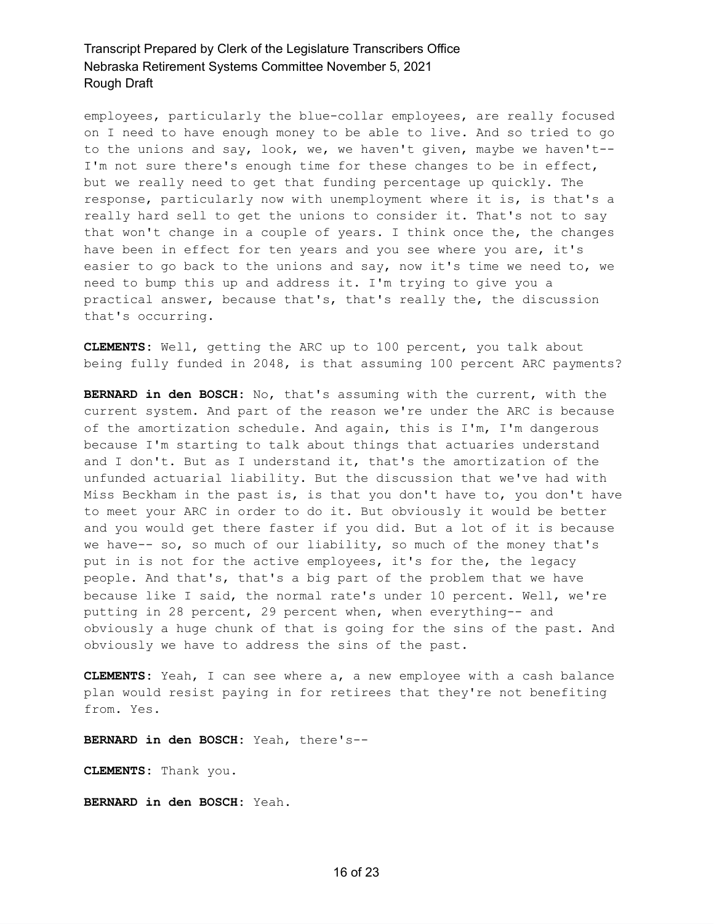employees, particularly the blue-collar employees, are really focused on I need to have enough money to be able to live. And so tried to go to the unions and say, look, we, we haven't given, maybe we haven't-- I'm not sure there's enough time for these changes to be in effect, but we really need to get that funding percentage up quickly. The response, particularly now with unemployment where it is, is that's a really hard sell to get the unions to consider it. That's not to say that won't change in a couple of years. I think once the, the changes have been in effect for ten years and you see where you are, it's easier to go back to the unions and say, now it's time we need to, we need to bump this up and address it. I'm trying to give you a practical answer, because that's, that's really the, the discussion that's occurring.

**CLEMENTS:** Well, getting the ARC up to 100 percent, you talk about being fully funded in 2048, is that assuming 100 percent ARC payments?

**BERNARD in den BOSCH:** No, that's assuming with the current, with the current system. And part of the reason we're under the ARC is because of the amortization schedule. And again, this is I'm, I'm dangerous because I'm starting to talk about things that actuaries understand and I don't. But as I understand it, that's the amortization of the unfunded actuarial liability. But the discussion that we've had with Miss Beckham in the past is, is that you don't have to, you don't have to meet your ARC in order to do it. But obviously it would be better and you would get there faster if you did. But a lot of it is because we have-- so, so much of our liability, so much of the money that's put in is not for the active employees, it's for the, the legacy people. And that's, that's a big part of the problem that we have because like I said, the normal rate's under 10 percent. Well, we're putting in 28 percent, 29 percent when, when everything-- and obviously a huge chunk of that is going for the sins of the past. And obviously we have to address the sins of the past.

**CLEMENTS:** Yeah, I can see where a, a new employee with a cash balance plan would resist paying in for retirees that they're not benefiting from. Yes.

**BERNARD in den BOSCH:** Yeah, there's--

**CLEMENTS:** Thank you.

**BERNARD in den BOSCH:** Yeah.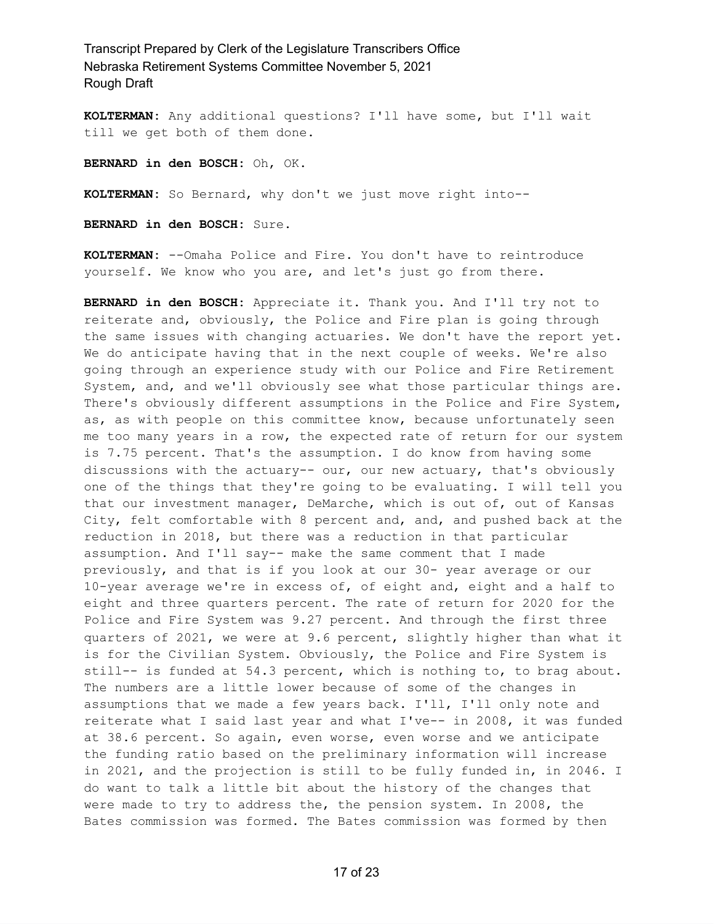**KOLTERMAN:** Any additional questions? I'll have some, but I'll wait till we get both of them done.

**BERNARD in den BOSCH:** Oh, OK.

**KOLTERMAN:** So Bernard, why don't we just move right into--

**BERNARD in den BOSCH:** Sure.

**KOLTERMAN:** --Omaha Police and Fire. You don't have to reintroduce yourself. We know who you are, and let's just go from there.

**BERNARD in den BOSCH:** Appreciate it. Thank you. And I'll try not to reiterate and, obviously, the Police and Fire plan is going through the same issues with changing actuaries. We don't have the report yet. We do anticipate having that in the next couple of weeks. We're also going through an experience study with our Police and Fire Retirement System, and, and we'll obviously see what those particular things are. There's obviously different assumptions in the Police and Fire System, as, as with people on this committee know, because unfortunately seen me too many years in a row, the expected rate of return for our system is 7.75 percent. That's the assumption. I do know from having some discussions with the actuary-- our, our new actuary, that's obviously one of the things that they're going to be evaluating. I will tell you that our investment manager, DeMarche, which is out of, out of Kansas City, felt comfortable with 8 percent and, and, and pushed back at the reduction in 2018, but there was a reduction in that particular assumption. And I'll say-- make the same comment that I made previously, and that is if you look at our 30- year average or our 10-year average we're in excess of, of eight and, eight and a half to eight and three quarters percent. The rate of return for 2020 for the Police and Fire System was 9.27 percent. And through the first three quarters of 2021, we were at 9.6 percent, slightly higher than what it is for the Civilian System. Obviously, the Police and Fire System is still-- is funded at 54.3 percent, which is nothing to, to brag about. The numbers are a little lower because of some of the changes in assumptions that we made a few years back. I'll, I'll only note and reiterate what I said last year and what I've-- in 2008, it was funded at 38.6 percent. So again, even worse, even worse and we anticipate the funding ratio based on the preliminary information will increase in 2021, and the projection is still to be fully funded in, in 2046. I do want to talk a little bit about the history of the changes that were made to try to address the, the pension system. In 2008, the Bates commission was formed. The Bates commission was formed by then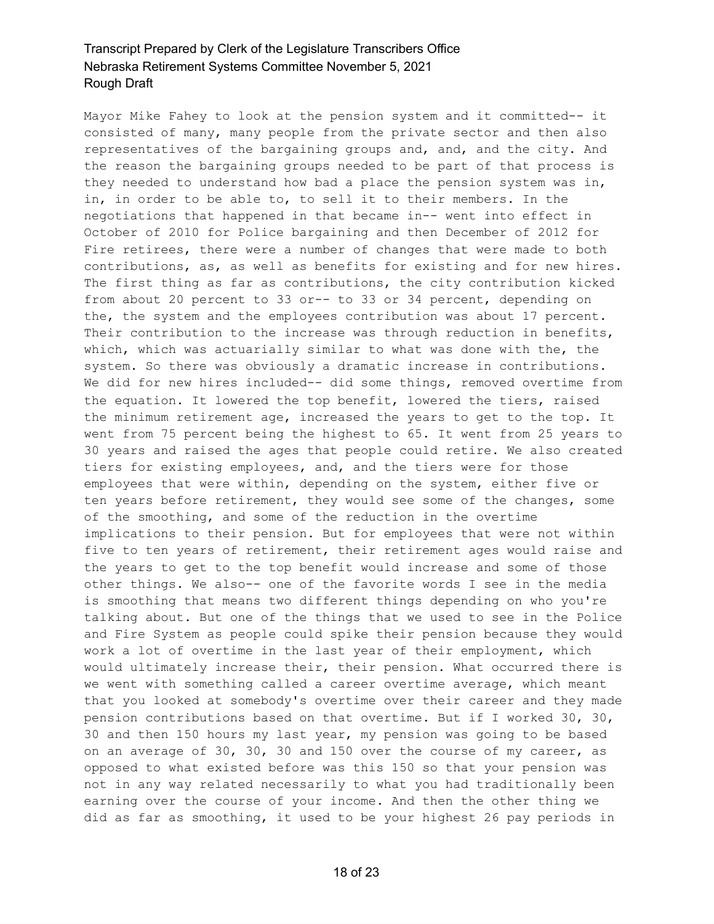Mayor Mike Fahey to look at the pension system and it committed-- it consisted of many, many people from the private sector and then also representatives of the bargaining groups and, and, and the city. And the reason the bargaining groups needed to be part of that process is they needed to understand how bad a place the pension system was in, in, in order to be able to, to sell it to their members. In the negotiations that happened in that became in-- went into effect in October of 2010 for Police bargaining and then December of 2012 for Fire retirees, there were a number of changes that were made to both contributions, as, as well as benefits for existing and for new hires. The first thing as far as contributions, the city contribution kicked from about 20 percent to 33 or-- to 33 or 34 percent, depending on the, the system and the employees contribution was about 17 percent. Their contribution to the increase was through reduction in benefits, which, which was actuarially similar to what was done with the, the system. So there was obviously a dramatic increase in contributions. We did for new hires included-- did some things, removed overtime from the equation. It lowered the top benefit, lowered the tiers, raised the minimum retirement age, increased the years to get to the top. It went from 75 percent being the highest to 65. It went from 25 years to 30 years and raised the ages that people could retire. We also created tiers for existing employees, and, and the tiers were for those employees that were within, depending on the system, either five or ten years before retirement, they would see some of the changes, some of the smoothing, and some of the reduction in the overtime implications to their pension. But for employees that were not within five to ten years of retirement, their retirement ages would raise and the years to get to the top benefit would increase and some of those other things. We also-- one of the favorite words I see in the media is smoothing that means two different things depending on who you're talking about. But one of the things that we used to see in the Police and Fire System as people could spike their pension because they would work a lot of overtime in the last year of their employment, which would ultimately increase their, their pension. What occurred there is we went with something called a career overtime average, which meant that you looked at somebody's overtime over their career and they made pension contributions based on that overtime. But if I worked 30, 30, 30 and then 150 hours my last year, my pension was going to be based on an average of 30, 30, 30 and 150 over the course of my career, as opposed to what existed before was this 150 so that your pension was not in any way related necessarily to what you had traditionally been earning over the course of your income. And then the other thing we did as far as smoothing, it used to be your highest 26 pay periods in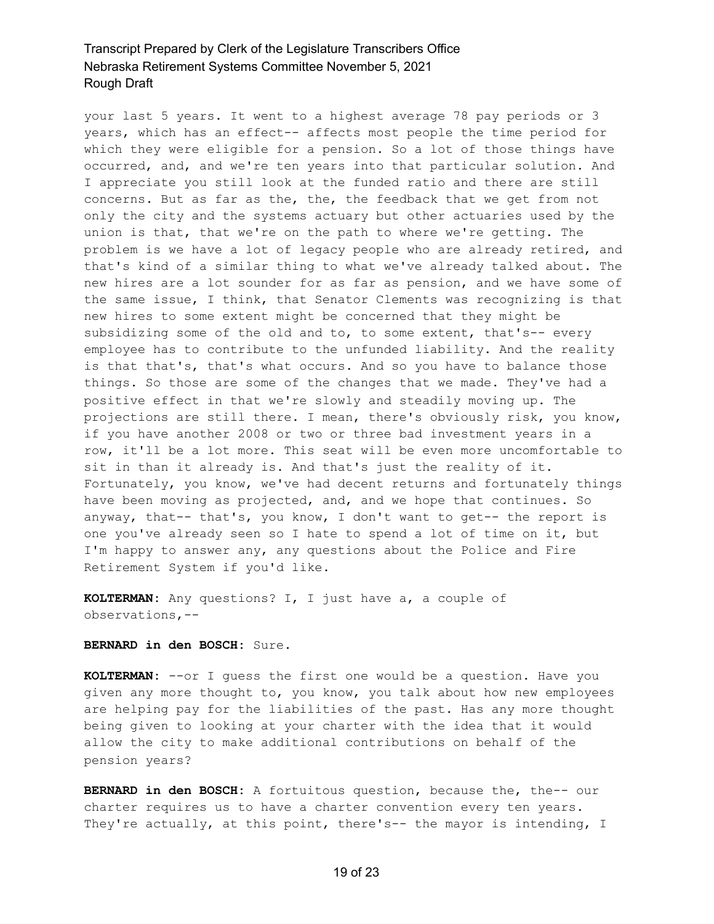your last 5 years. It went to a highest average 78 pay periods or 3 years, which has an effect-- affects most people the time period for which they were eligible for a pension. So a lot of those things have occurred, and, and we're ten years into that particular solution. And I appreciate you still look at the funded ratio and there are still concerns. But as far as the, the, the feedback that we get from not only the city and the systems actuary but other actuaries used by the union is that, that we're on the path to where we're getting. The problem is we have a lot of legacy people who are already retired, and that's kind of a similar thing to what we've already talked about. The new hires are a lot sounder for as far as pension, and we have some of the same issue, I think, that Senator Clements was recognizing is that new hires to some extent might be concerned that they might be subsidizing some of the old and to, to some extent, that's-- every employee has to contribute to the unfunded liability. And the reality is that that's, that's what occurs. And so you have to balance those things. So those are some of the changes that we made. They've had a positive effect in that we're slowly and steadily moving up. The projections are still there. I mean, there's obviously risk, you know, if you have another 2008 or two or three bad investment years in a row, it'll be a lot more. This seat will be even more uncomfortable to sit in than it already is. And that's just the reality of it. Fortunately, you know, we've had decent returns and fortunately things have been moving as projected, and, and we hope that continues. So anyway, that-- that's, you know, I don't want to get-- the report is one you've already seen so I hate to spend a lot of time on it, but I'm happy to answer any, any questions about the Police and Fire Retirement System if you'd like.

**KOLTERMAN:** Any questions? I, I just have a, a couple of observations,--

#### **BERNARD in den BOSCH:** Sure.

**KOLTERMAN:** --or I guess the first one would be a question. Have you given any more thought to, you know, you talk about how new employees are helping pay for the liabilities of the past. Has any more thought being given to looking at your charter with the idea that it would allow the city to make additional contributions on behalf of the pension years?

**BERNARD in den BOSCH:** A fortuitous question, because the, the-- our charter requires us to have a charter convention every ten years. They're actually, at this point, there's-- the mayor is intending, I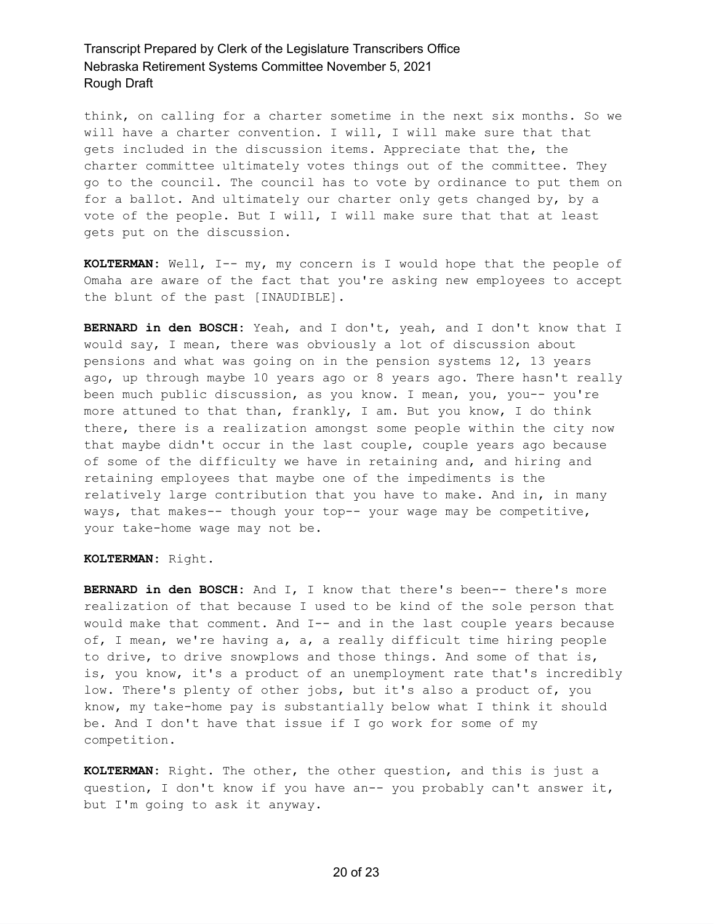think, on calling for a charter sometime in the next six months. So we will have a charter convention. I will, I will make sure that that gets included in the discussion items. Appreciate that the, the charter committee ultimately votes things out of the committee. They go to the council. The council has to vote by ordinance to put them on for a ballot. And ultimately our charter only gets changed by, by a vote of the people. But I will, I will make sure that that at least gets put on the discussion.

**KOLTERMAN:** Well, I-- my, my concern is I would hope that the people of Omaha are aware of the fact that you're asking new employees to accept the blunt of the past [INAUDIBLE].

**BERNARD in den BOSCH:** Yeah, and I don't, yeah, and I don't know that I would say, I mean, there was obviously a lot of discussion about pensions and what was going on in the pension systems 12, 13 years ago, up through maybe 10 years ago or 8 years ago. There hasn't really been much public discussion, as you know. I mean, you, you-- you're more attuned to that than, frankly, I am. But you know, I do think there, there is a realization amongst some people within the city now that maybe didn't occur in the last couple, couple years ago because of some of the difficulty we have in retaining and, and hiring and retaining employees that maybe one of the impediments is the relatively large contribution that you have to make. And in, in many ways, that makes-- though your top-- your wage may be competitive, your take-home wage may not be.

#### **KOLTERMAN:** Right.

**BERNARD in den BOSCH:** And I, I know that there's been-- there's more realization of that because I used to be kind of the sole person that would make that comment. And I-- and in the last couple years because of, I mean, we're having a, a, a really difficult time hiring people to drive, to drive snowplows and those things. And some of that is, is, you know, it's a product of an unemployment rate that's incredibly low. There's plenty of other jobs, but it's also a product of, you know, my take-home pay is substantially below what I think it should be. And I don't have that issue if I go work for some of my competition.

**KOLTERMAN:** Right. The other, the other question, and this is just a question, I don't know if you have an-- you probably can't answer it, but I'm going to ask it anyway.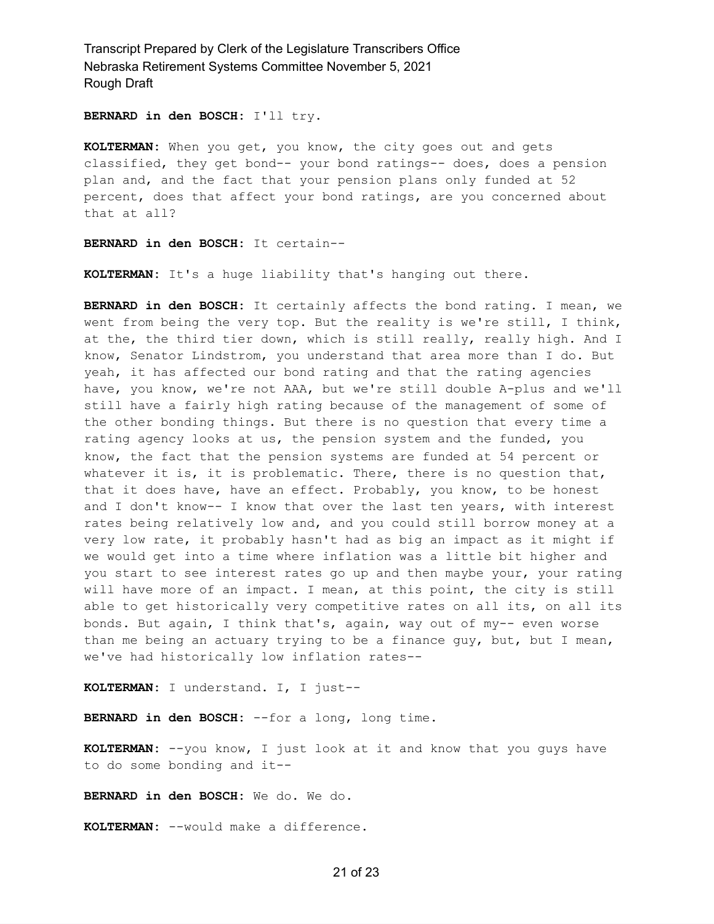## **BERNARD in den BOSCH:** I'll try.

**KOLTERMAN:** When you get, you know, the city goes out and gets classified, they get bond-- your bond ratings-- does, does a pension plan and, and the fact that your pension plans only funded at 52 percent, does that affect your bond ratings, are you concerned about that at all?

**BERNARD in den BOSCH:** It certain--

**KOLTERMAN:** It's a huge liability that's hanging out there.

**BERNARD in den BOSCH:** It certainly affects the bond rating. I mean, we went from being the very top. But the reality is we're still, I think, at the, the third tier down, which is still really, really high. And I know, Senator Lindstrom, you understand that area more than I do. But yeah, it has affected our bond rating and that the rating agencies have, you know, we're not AAA, but we're still double A-plus and we'll still have a fairly high rating because of the management of some of the other bonding things. But there is no question that every time a rating agency looks at us, the pension system and the funded, you know, the fact that the pension systems are funded at 54 percent or whatever it is, it is problematic. There, there is no question that, that it does have, have an effect. Probably, you know, to be honest and I don't know-- I know that over the last ten years, with interest rates being relatively low and, and you could still borrow money at a very low rate, it probably hasn't had as big an impact as it might if we would get into a time where inflation was a little bit higher and you start to see interest rates go up and then maybe your, your rating will have more of an impact. I mean, at this point, the city is still able to get historically very competitive rates on all its, on all its bonds. But again, I think that's, again, way out of my-- even worse than me being an actuary trying to be a finance guy, but, but I mean, we've had historically low inflation rates--

**KOLTERMAN:** I understand. I, I just--

**BERNARD in den BOSCH:** --for a long, long time.

**KOLTERMAN:** --you know, I just look at it and know that you guys have to do some bonding and it--

**BERNARD in den BOSCH:** We do. We do.

**KOLTERMAN:** --would make a difference.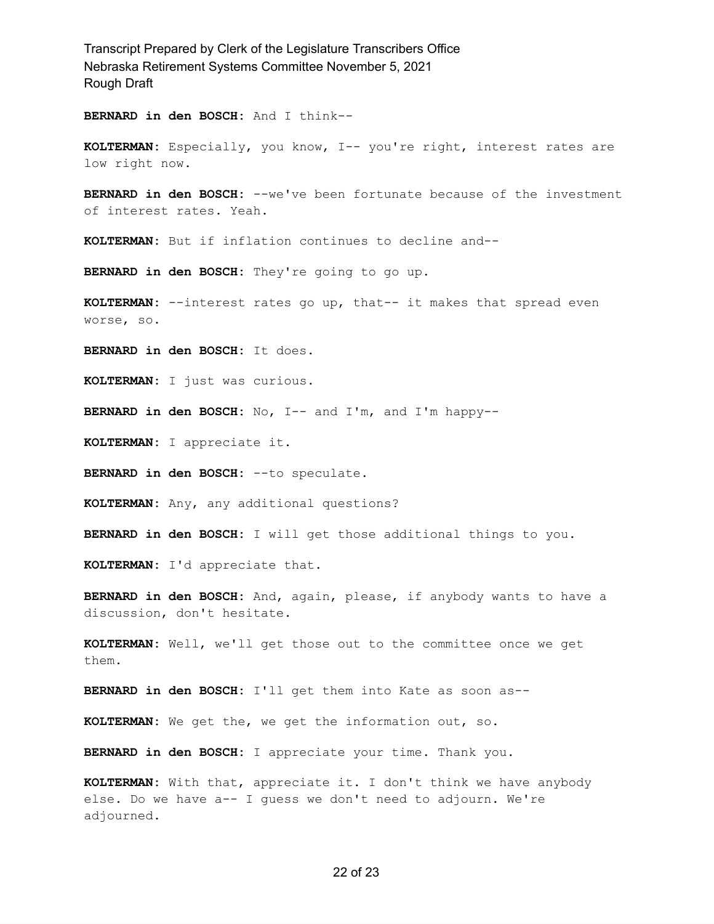**BERNARD in den BOSCH:** And I think--

**KOLTERMAN:** Especially, you know, I-- you're right, interest rates are low right now.

**BERNARD in den BOSCH:** --we've been fortunate because of the investment of interest rates. Yeah.

**KOLTERMAN:** But if inflation continues to decline and--

**BERNARD in den BOSCH:** They're going to go up.

**KOLTERMAN:** --interest rates go up, that-- it makes that spread even worse, so.

**BERNARD in den BOSCH:** It does.

**KOLTERMAN:** I just was curious.

**BERNARD in den BOSCH:** No, I-- and I'm, and I'm happy--

**KOLTERMAN:** I appreciate it.

**BERNARD in den BOSCH:** --to speculate.

**KOLTERMAN:** Any, any additional questions?

**BERNARD in den BOSCH:** I will get those additional things to you.

**KOLTERMAN:** I'd appreciate that.

**BERNARD in den BOSCH:** And, again, please, if anybody wants to have a discussion, don't hesitate.

**KOLTERMAN:** Well, we'll get those out to the committee once we get them.

**BERNARD in den BOSCH:** I'll get them into Kate as soon as--

**KOLTERMAN:** We get the, we get the information out, so.

**BERNARD in den BOSCH:** I appreciate your time. Thank you.

**KOLTERMAN:** With that, appreciate it. I don't think we have anybody else. Do we have a-- I guess we don't need to adjourn. We're adjourned.

#### 22 of 23